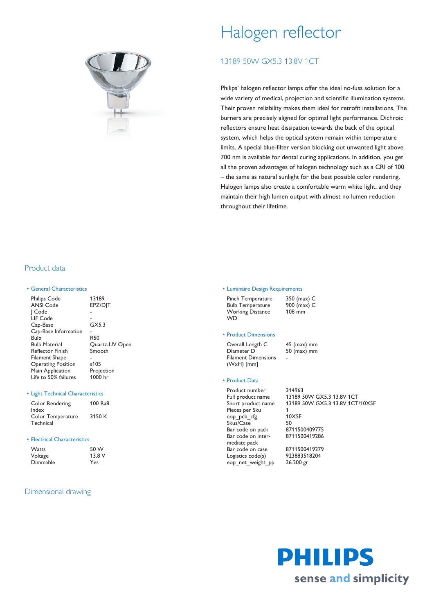

# Halogen reflector

# 13189 50W GX5.3 13.8V 1CT

Philips' halogen reflector lamps offer the ideal no-fuss solution for a wide variety of medical, projection and scientific illumination systems. Their proven reliability makes them ideal for retrofit installations. The burners are precisely aligned for optimal light performance. Dichroic reflectors ensure heat dissipation towards the back of the optical system, which helps the optical system remain within temperature limits. A special blue-filter version blocking out unwanted light above 700 nm is available for dental curing applications. In addition, you get all the proven advantages of halogen technology such as a CRI of 100 – the same as natural sunlight for the best possible color rendering. Halogen lamps also create a comfortable warm white light, and they maintain their high lumen output with almost no lumen reduction throughout their lifetime.

## Product data

#### • General Characteristics

| <b>Philips Code</b>       | 13189          |
|---------------------------|----------------|
| <b>ANSI Code</b>          | EPZ/DIT        |
| Code                      |                |
| LIF Code                  |                |
| Cap-Base                  | GX5.3          |
| Cap-Base Information      |                |
| Bulb                      | <b>R50</b>     |
| <b>Bulb Material</b>      | Quartz-UV Open |
| <b>Reflector Finish</b>   | Smooth         |
| Filament Shape            |                |
| <b>Operating Position</b> | s105           |
| Main Application          | Projection     |
| Life to 50% failures      | 1000 hr        |
|                           |                |

#### • Light Technical Characteristics

| Color Rendering   | 100 Ra8 |
|-------------------|---------|
| Index             |         |
| Color Temperature | 3150 K  |
| Technical         |         |

#### • Electrical Characteristics

| <b>Watts</b> | 50 W  |  |  |
|--------------|-------|--|--|
| Voltage      | 13.8V |  |  |
| Dimmable     | Yes   |  |  |

### Dimensional drawing

#### • Luminaire Design Requirements

| Pinch Temperature       | 350 (max) C |
|-------------------------|-------------|
| <b>Bulb Temperature</b> | 900 (max) C |
| <b>Working Distance</b> | $108$ mm    |
| <b>WD</b>               |             |

#### • Product Dimensions

Overall Length C 45 (max) mm Diameter D 50 (max) mm Filament Dimensions (WxH) [mm] -

#### • Product Data

Product number 314963 Pieces per Sku 1 eop\_pck\_cfg 10X5F Skus/Case 50<br>
Bar code on pack 8711500409775 Bar code on pack Bar code on intermediate pack Bar code on case 8711500419279 Logistics code(s) 923883518204 eop\_net\_weight\_pp 26.200 gr

Full product name 13189 50W GX5.3 13.8V 1CT Short product name 13189 50W GX5.3 13.8V 1CT/10X5F

8711500419286